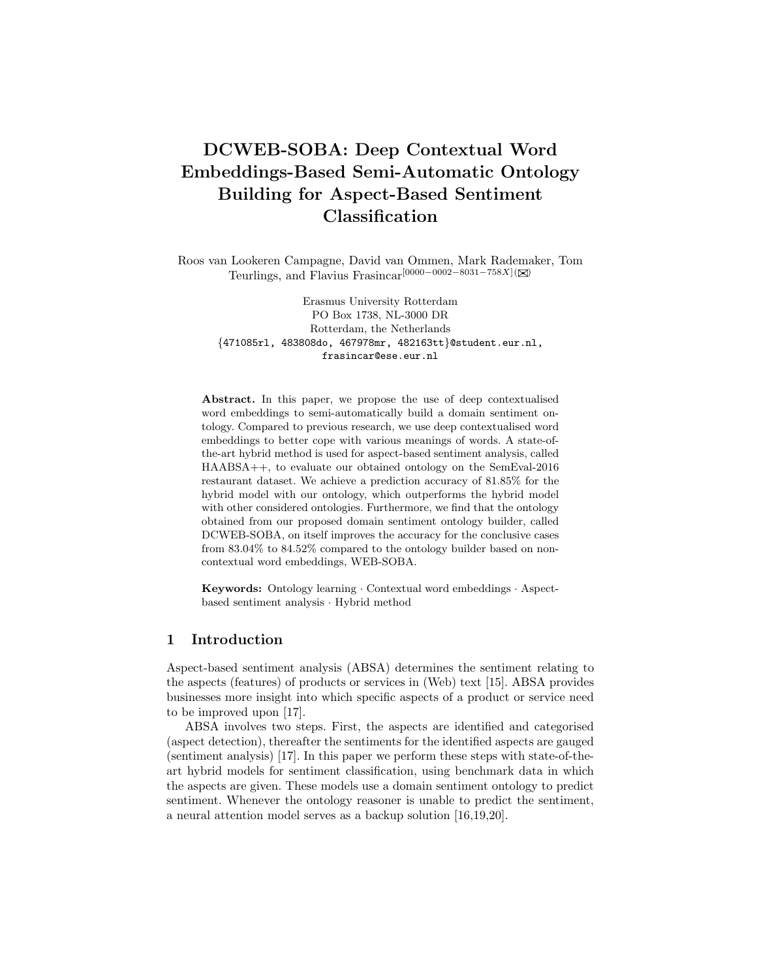# DCWEB-SOBA: Deep Contextual Word Embeddings-Based Semi-Automatic Ontology Building for Aspect-Based Sentiment Classification

Roos van Lookeren Campagne, David van Ommen, Mark Rademaker, Tom Teurlings, and Flavius Frasincar<sup>[0000–0002–8031–758X]</sup>(⊠)

Erasmus University Rotterdam PO Box 1738, NL-3000 DR Rotterdam, the Netherlands {471085rl, 483808do, 467978mr, 482163tt}@student.eur.nl, frasincar@ese.eur.nl

Abstract. In this paper, we propose the use of deep contextualised word embeddings to semi-automatically build a domain sentiment ontology. Compared to previous research, we use deep contextualised word embeddings to better cope with various meanings of words. A state-ofthe-art hybrid method is used for aspect-based sentiment analysis, called HAABSA++, to evaluate our obtained ontology on the SemEval-2016 restaurant dataset. We achieve a prediction accuracy of 81.85% for the hybrid model with our ontology, which outperforms the hybrid model with other considered ontologies. Furthermore, we find that the ontology obtained from our proposed domain sentiment ontology builder, called DCWEB-SOBA, on itself improves the accuracy for the conclusive cases from 83.04% to 84.52% compared to the ontology builder based on noncontextual word embeddings, WEB-SOBA.

Keywords: Ontology learning · Contextual word embeddings · Aspectbased sentiment analysis · Hybrid method

# 1 Introduction

Aspect-based sentiment analysis (ABSA) determines the sentiment relating to the aspects (features) of products or services in (Web) text [\[15\]](#page-15-0). ABSA provides businesses more insight into which specific aspects of a product or service need to be improved upon [\[17\]](#page-16-0).

ABSA involves two steps. First, the aspects are identified and categorised (aspect detection), thereafter the sentiments for the identified aspects are gauged (sentiment analysis) [\[17\]](#page-16-0). In this paper we perform these steps with state-of-theart hybrid models for sentiment classification, using benchmark data in which the aspects are given. These models use a domain sentiment ontology to predict sentiment. Whenever the ontology reasoner is unable to predict the sentiment, a neural attention model serves as a backup solution [\[16,](#page-15-1)[19,](#page-16-1)[20\]](#page-16-2).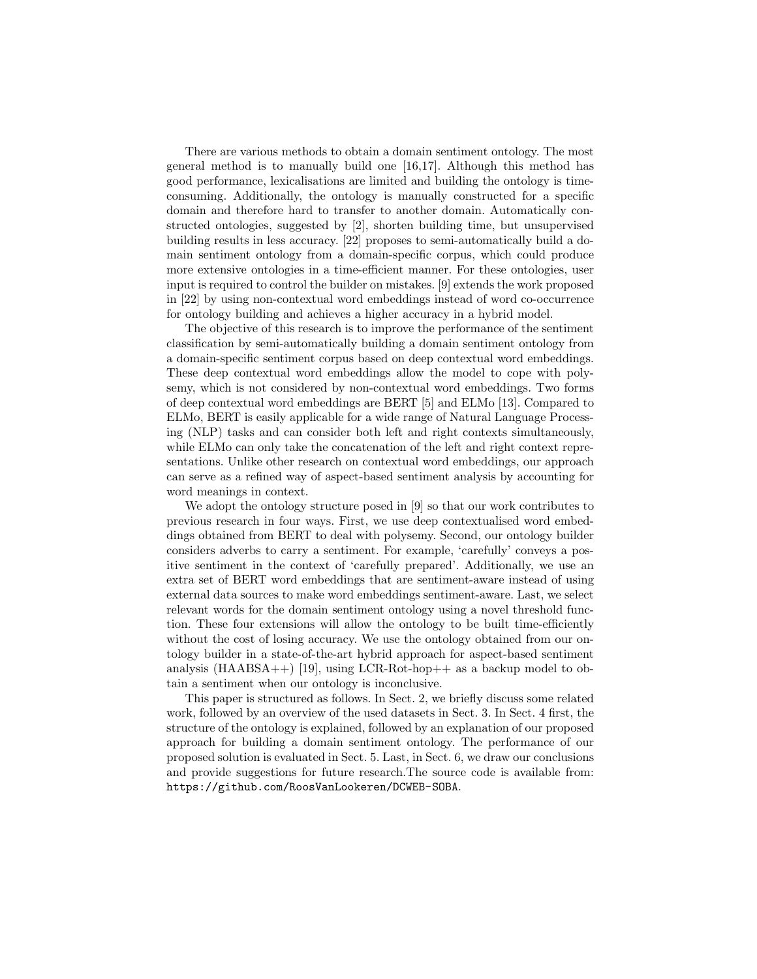There are various methods to obtain a domain sentiment ontology. The most general method is to manually build one [\[16](#page-15-1)[,17\]](#page-16-0). Although this method has good performance, lexicalisations are limited and building the ontology is timeconsuming. Additionally, the ontology is manually constructed for a specific domain and therefore hard to transfer to another domain. Automatically constructed ontologies, suggested by [\[2\]](#page-15-2), shorten building time, but unsupervised building results in less accuracy. [\[22\]](#page-16-3) proposes to semi-automatically build a domain sentiment ontology from a domain-specific corpus, which could produce more extensive ontologies in a time-efficient manner. For these ontologies, user input is required to control the builder on mistakes. [\[9\]](#page-15-3) extends the work proposed in [\[22\]](#page-16-3) by using non-contextual word embeddings instead of word co-occurrence for ontology building and achieves a higher accuracy in a hybrid model.

The objective of this research is to improve the performance of the sentiment classification by semi-automatically building a domain sentiment ontology from a domain-specific sentiment corpus based on deep contextual word embeddings. These deep contextual word embeddings allow the model to cope with polysemy, which is not considered by non-contextual word embeddings. Two forms of deep contextual word embeddings are BERT [\[5\]](#page-15-4) and ELMo [\[13\]](#page-15-5). Compared to ELMo, BERT is easily applicable for a wide range of Natural Language Processing (NLP) tasks and can consider both left and right contexts simultaneously, while ELMo can only take the concatenation of the left and right context representations. Unlike other research on contextual word embeddings, our approach can serve as a refined way of aspect-based sentiment analysis by accounting for word meanings in context.

We adopt the ontology structure posed in [\[9\]](#page-15-3) so that our work contributes to previous research in four ways. First, we use deep contextualised word embeddings obtained from BERT to deal with polysemy. Second, our ontology builder considers adverbs to carry a sentiment. For example, 'carefully' conveys a positive sentiment in the context of 'carefully prepared'. Additionally, we use an extra set of BERT word embeddings that are sentiment-aware instead of using external data sources to make word embeddings sentiment-aware. Last, we select relevant words for the domain sentiment ontology using a novel threshold function. These four extensions will allow the ontology to be built time-efficiently without the cost of losing accuracy. We use the ontology obtained from our ontology builder in a state-of-the-art hybrid approach for aspect-based sentiment analysis (HAABSA++) [\[19\]](#page-16-1), using LCR-Rot-hop++ as a backup model to obtain a sentiment when our ontology is inconclusive.

This paper is structured as follows. In Sect. [2,](#page-2-0) we briefly discuss some related work, followed by an overview of the used datasets in Sect. [3.](#page-4-0) In Sect. [4](#page-4-1) first, the structure of the ontology is explained, followed by an explanation of our proposed approach for building a domain sentiment ontology. The performance of our proposed solution is evaluated in Sect. [5.](#page-12-0) Last, in Sect. [6,](#page-14-0) we draw our conclusions and provide suggestions for future research.The source code is available from: <https://github.com/RoosVanLookeren/DCWEB-SOBA>.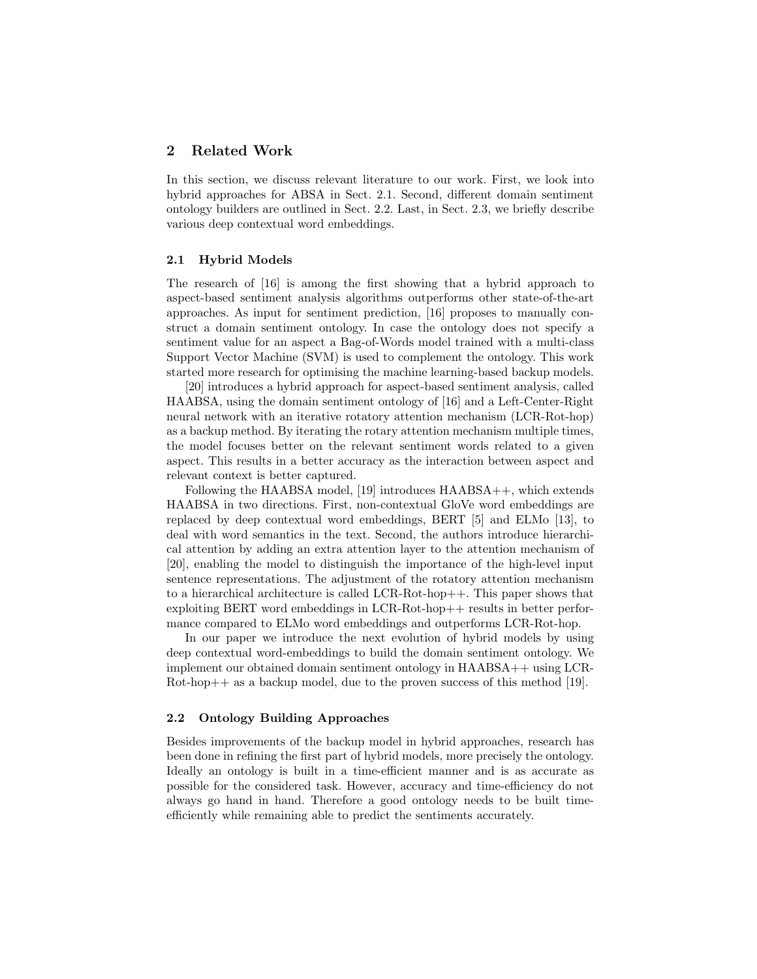# <span id="page-2-0"></span>2 Related Work

In this section, we discuss relevant literature to our work. First, we look into hybrid approaches for ABSA in Sect. [2.1.](#page-2-1) Second, different domain sentiment ontology builders are outlined in Sect. [2.2.](#page-2-2) Last, in Sect. [2.3,](#page-3-0) we briefly describe various deep contextual word embeddings.

#### <span id="page-2-1"></span>2.1 Hybrid Models

The research of [\[16\]](#page-15-1) is among the first showing that a hybrid approach to aspect-based sentiment analysis algorithms outperforms other state-of-the-art approaches. As input for sentiment prediction, [\[16\]](#page-15-1) proposes to manually construct a domain sentiment ontology. In case the ontology does not specify a sentiment value for an aspect a Bag-of-Words model trained with a multi-class Support Vector Machine (SVM) is used to complement the ontology. This work started more research for optimising the machine learning-based backup models.

[\[20\]](#page-16-2) introduces a hybrid approach for aspect-based sentiment analysis, called HAABSA, using the domain sentiment ontology of [\[16\]](#page-15-1) and a Left-Center-Right neural network with an iterative rotatory attention mechanism (LCR-Rot-hop) as a backup method. By iterating the rotary attention mechanism multiple times, the model focuses better on the relevant sentiment words related to a given aspect. This results in a better accuracy as the interaction between aspect and relevant context is better captured.

Following the HAABSA model, [\[19\]](#page-16-1) introduces HAABSA++, which extends HAABSA in two directions. First, non-contextual GloVe word embeddings are replaced by deep contextual word embeddings, BERT [\[5\]](#page-15-4) and ELMo [\[13\]](#page-15-5), to deal with word semantics in the text. Second, the authors introduce hierarchical attention by adding an extra attention layer to the attention mechanism of [\[20\]](#page-16-2), enabling the model to distinguish the importance of the high-level input sentence representations. The adjustment of the rotatory attention mechanism to a hierarchical architecture is called LCR-Rot-hop++. This paper shows that exploiting BERT word embeddings in LCR-Rot-hop++ results in better performance compared to ELMo word embeddings and outperforms LCR-Rot-hop.

In our paper we introduce the next evolution of hybrid models by using deep contextual word-embeddings to build the domain sentiment ontology. We implement our obtained domain sentiment ontology in HAABSA++ using LCR-Rot-hop++ as a backup model, due to the proven success of this method [\[19\]](#page-16-1).

# <span id="page-2-2"></span>2.2 Ontology Building Approaches

Besides improvements of the backup model in hybrid approaches, research has been done in refining the first part of hybrid models, more precisely the ontology. Ideally an ontology is built in a time-efficient manner and is as accurate as possible for the considered task. However, accuracy and time-efficiency do not always go hand in hand. Therefore a good ontology needs to be built timeefficiently while remaining able to predict the sentiments accurately.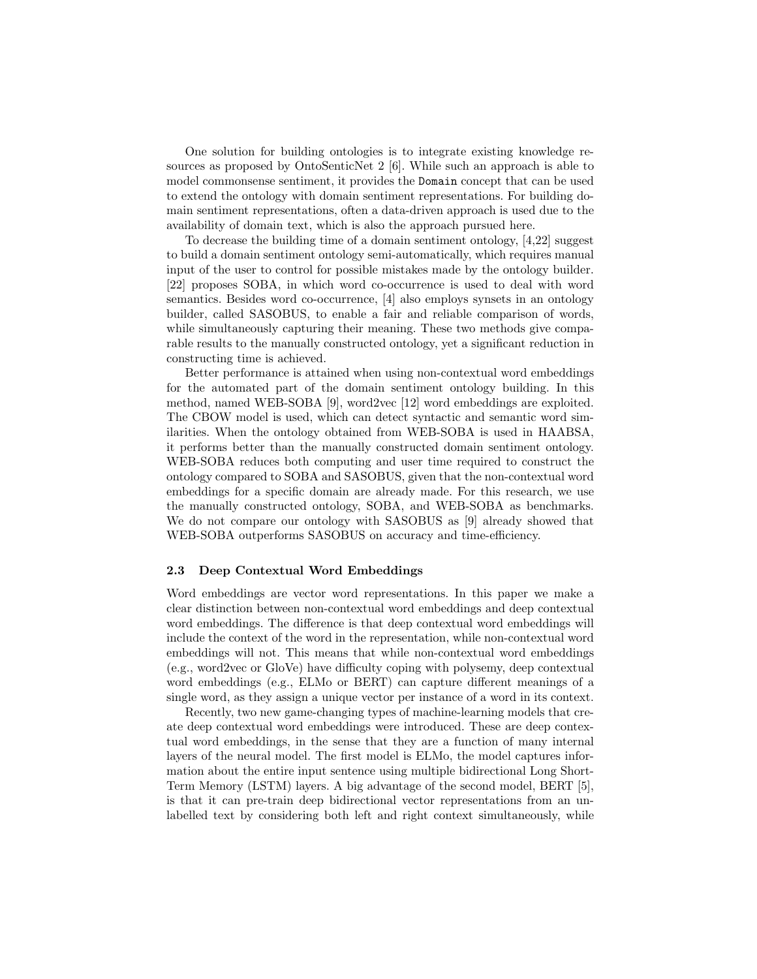One solution for building ontologies is to integrate existing knowledge resources as proposed by OntoSenticNet 2 [\[6\]](#page-15-6). While such an approach is able to model commonsense sentiment, it provides the Domain concept that can be used to extend the ontology with domain sentiment representations. For building domain sentiment representations, often a data-driven approach is used due to the availability of domain text, which is also the approach pursued here.

To decrease the building time of a domain sentiment ontology, [\[4,](#page-15-7)[22\]](#page-16-3) suggest to build a domain sentiment ontology semi-automatically, which requires manual input of the user to control for possible mistakes made by the ontology builder. [\[22\]](#page-16-3) proposes SOBA, in which word co-occurrence is used to deal with word semantics. Besides word co-occurrence, [\[4\]](#page-15-7) also employs synsets in an ontology builder, called SASOBUS, to enable a fair and reliable comparison of words, while simultaneously capturing their meaning. These two methods give comparable results to the manually constructed ontology, yet a significant reduction in constructing time is achieved.

Better performance is attained when using non-contextual word embeddings for the automated part of the domain sentiment ontology building. In this method, named WEB-SOBA [\[9\]](#page-15-3), word2vec [\[12\]](#page-15-8) word embeddings are exploited. The CBOW model is used, which can detect syntactic and semantic word similarities. When the ontology obtained from WEB-SOBA is used in HAABSA, it performs better than the manually constructed domain sentiment ontology. WEB-SOBA reduces both computing and user time required to construct the ontology compared to SOBA and SASOBUS, given that the non-contextual word embeddings for a specific domain are already made. For this research, we use the manually constructed ontology, SOBA, and WEB-SOBA as benchmarks. We do not compare our ontology with SASOBUS as [\[9\]](#page-15-3) already showed that WEB-SOBA outperforms SASOBUS on accuracy and time-efficiency.

### <span id="page-3-0"></span>2.3 Deep Contextual Word Embeddings

Word embeddings are vector word representations. In this paper we make a clear distinction between non-contextual word embeddings and deep contextual word embeddings. The difference is that deep contextual word embeddings will include the context of the word in the representation, while non-contextual word embeddings will not. This means that while non-contextual word embeddings (e.g., word2vec or GloVe) have difficulty coping with polysemy, deep contextual word embeddings (e.g., ELMo or BERT) can capture different meanings of a single word, as they assign a unique vector per instance of a word in its context.

Recently, two new game-changing types of machine-learning models that create deep contextual word embeddings were introduced. These are deep contextual word embeddings, in the sense that they are a function of many internal layers of the neural model. The first model is ELMo, the model captures information about the entire input sentence using multiple bidirectional Long Short-Term Memory (LSTM) layers. A big advantage of the second model, BERT [\[5\]](#page-15-4), is that it can pre-train deep bidirectional vector representations from an unlabelled text by considering both left and right context simultaneously, while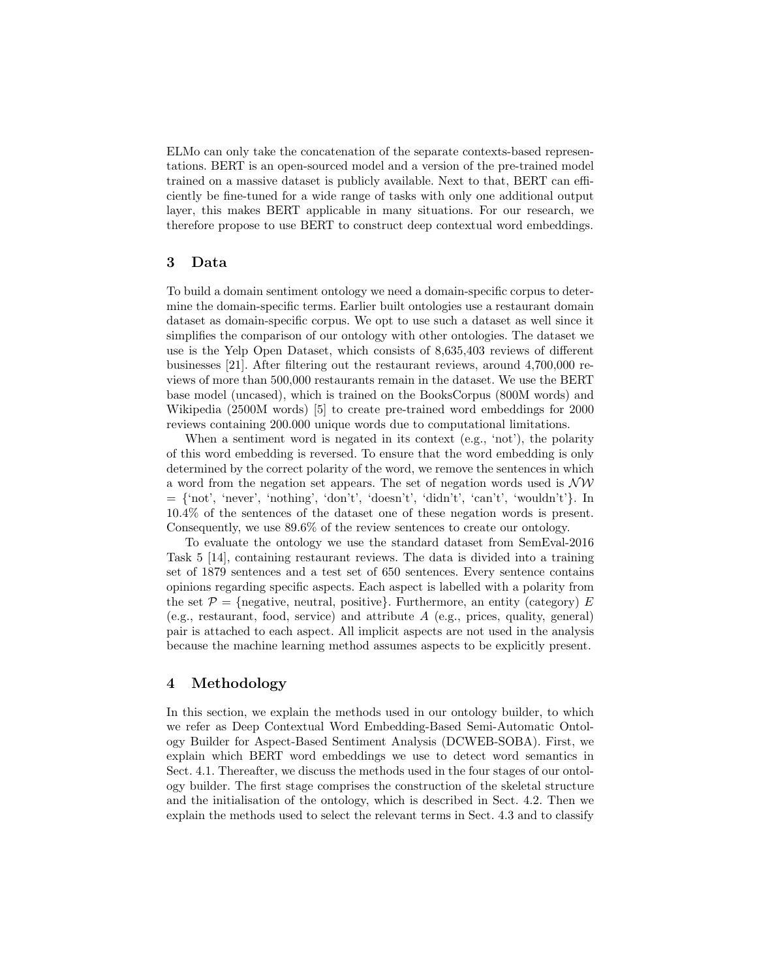ELMo can only take the concatenation of the separate contexts-based representations. BERT is an open-sourced model and a version of the pre-trained model trained on a massive dataset is publicly available. Next to that, BERT can efficiently be fine-tuned for a wide range of tasks with only one additional output layer, this makes BERT applicable in many situations. For our research, we therefore propose to use BERT to construct deep contextual word embeddings.

# <span id="page-4-0"></span>3 Data

To build a domain sentiment ontology we need a domain-specific corpus to determine the domain-specific terms. Earlier built ontologies use a restaurant domain dataset as domain-specific corpus. We opt to use such a dataset as well since it simplifies the comparison of our ontology with other ontologies. The dataset we use is the Yelp Open Dataset, which consists of 8,635,403 reviews of different businesses [\[21\]](#page-16-4). After filtering out the restaurant reviews, around 4,700,000 reviews of more than 500,000 restaurants remain in the dataset. We use the BERT base model (uncased), which is trained on the BooksCorpus (800M words) and Wikipedia (2500M words) [\[5\]](#page-15-4) to create pre-trained word embeddings for 2000 reviews containing 200.000 unique words due to computational limitations.

When a sentiment word is negated in its context (e.g., 'not'), the polarity of this word embedding is reversed. To ensure that the word embedding is only determined by the correct polarity of the word, we remove the sentences in which a word from the negation set appears. The set of negation words used is  $\mathcal{NW}$  $=\{\text{`not'},\text{ `never'},\text{ `nothing'},\text{ `don't'},\text{ `doesn't'},\text{ `didn't'},\text{ `can't'},\text{ `wouldn't'}\}.$  In 10.4% of the sentences of the dataset one of these negation words is present. Consequently, we use 89.6% of the review sentences to create our ontology.

To evaluate the ontology we use the standard dataset from SemEval-2016 Task 5 [\[14\]](#page-15-9), containing restaurant reviews. The data is divided into a training set of 1879 sentences and a test set of 650 sentences. Every sentence contains opinions regarding specific aspects. Each aspect is labelled with a polarity from the set  $P = \{$ negative, neutral, positive $\}$ . Furthermore, an entity (category) E (e.g., restaurant, food, service) and attribute  $A$  (e.g., prices, quality, general) pair is attached to each aspect. All implicit aspects are not used in the analysis because the machine learning method assumes aspects to be explicitly present.

## <span id="page-4-1"></span>4 Methodology

In this section, we explain the methods used in our ontology builder, to which we refer as Deep Contextual Word Embedding-Based Semi-Automatic Ontology Builder for Aspect-Based Sentiment Analysis (DCWEB-SOBA). First, we explain which BERT word embeddings we use to detect word semantics in Sect. [4.1.](#page-5-0) Thereafter, we discuss the methods used in the four stages of our ontology builder. The first stage comprises the construction of the skeletal structure and the initialisation of the ontology, which is described in Sect. [4.2.](#page-7-0) Then we explain the methods used to select the relevant terms in Sect. [4.3](#page-9-0) and to classify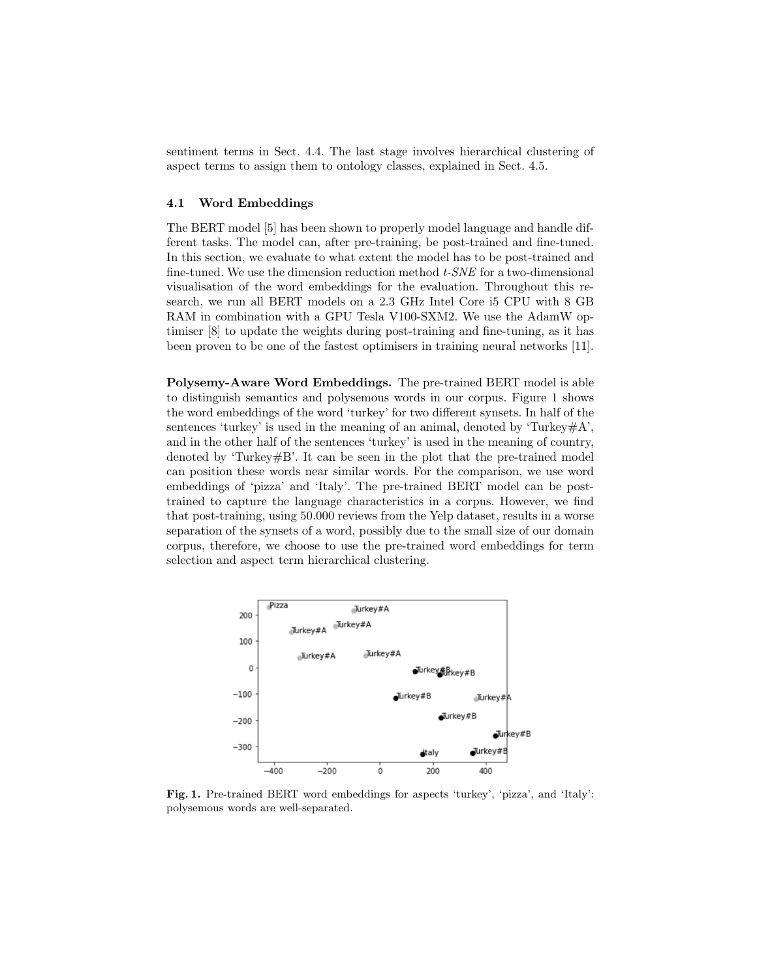sentiment terms in Sect. [4.4.](#page-10-0) The last stage involves hierarchical clustering of aspect terms to assign them to ontology classes, explained in Sect. [4.5.](#page-11-0)

#### <span id="page-5-0"></span>4.1 Word Embeddings

The BERT model [\[5\]](#page-15-4) has been shown to properly model language and handle different tasks. The model can, after pre-training, be post-trained and fine-tuned. In this section, we evaluate to what extent the model has to be post-trained and fine-tuned. We use the dimension reduction method  $t$ -SNE for a two-dimensional visualisation of the word embeddings for the evaluation. Throughout this research, we run all BERT models on a 2.3 GHz Intel Core i5 CPU with 8 GB RAM in combination with a GPU Tesla V100-SXM2. We use the AdamW optimiser [\[8\]](#page-15-10) to update the weights during post-training and fine-tuning, as it has been proven to be one of the fastest optimisers in training neural networks [\[11\]](#page-15-11).

Polysemy-Aware Word Embeddings. The pre-trained BERT model is able to distinguish semantics and polysemous words in our corpus. Figure [1](#page-5-1) shows the word embeddings of the word 'turkey' for two different synsets. In half of the sentences 'turkey' is used in the meaning of an animal, denoted by 'Turkey#A'. and in the other half of the sentences 'turkey' is used in the meaning of country, denoted by 'Turkey $#B'$ . It can be seen in the plot that the pre-trained model can position these words near similar words. For the comparison, we use word embeddings of 'pizza' and 'Italy'. The pre-trained BERT model can be posttrained to capture the language characteristics in a corpus. However, we find that post-training, using 50.000 reviews from the Yelp dataset, results in a worse separation of the synsets of a word, possibly due to the small size of our domain corpus, therefore, we choose to use the pre-trained word embeddings for term selection and aspect term hierarchical clustering.

<span id="page-5-1"></span>

Fig. 1. Pre-trained BERT word embeddings for aspects 'turkey', 'pizza', and 'Italy': polysemous words are well-separated.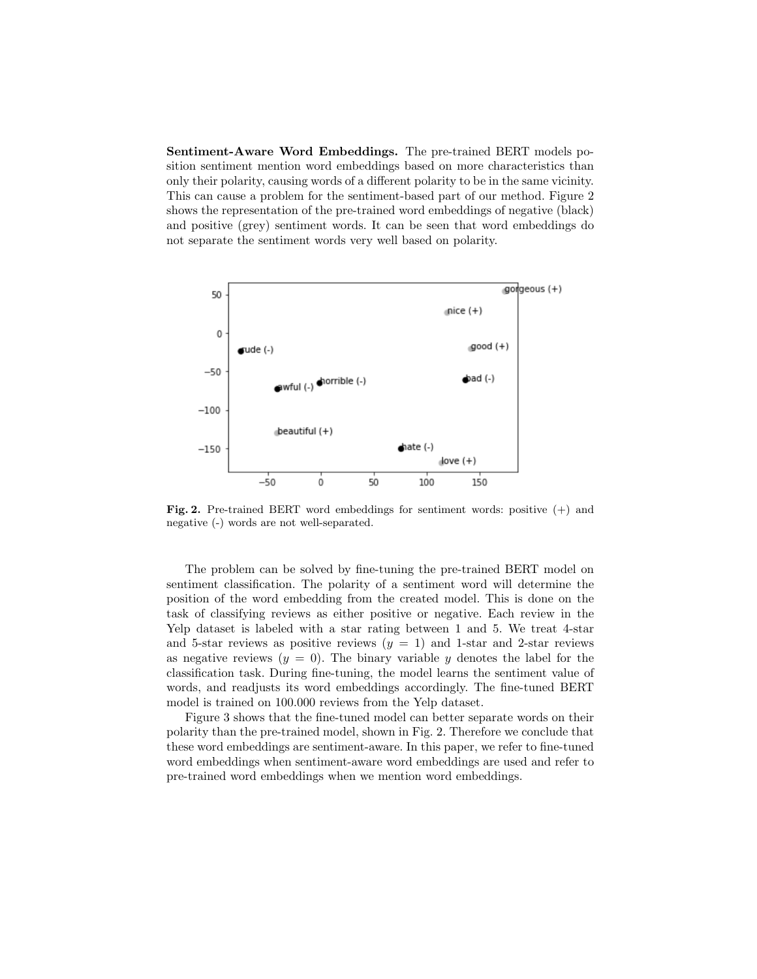Sentiment-Aware Word Embeddings. The pre-trained BERT models position sentiment mention word embeddings based on more characteristics than only their polarity, causing words of a different polarity to be in the same vicinity. This can cause a problem for the sentiment-based part of our method. Figure [2](#page-6-0) shows the representation of the pre-trained word embeddings of negative (black) and positive (grey) sentiment words. It can be seen that word embeddings do not separate the sentiment words very well based on polarity.

<span id="page-6-0"></span>

**Fig. 2.** Pre-trained BERT word embeddings for sentiment words: positive  $(+)$  and negative (-) words are not well-separated.

The problem can be solved by fine-tuning the pre-trained BERT model on sentiment classification. The polarity of a sentiment word will determine the position of the word embedding from the created model. This is done on the task of classifying reviews as either positive or negative. Each review in the Yelp dataset is labeled with a star rating between 1 and 5. We treat 4-star and 5-star reviews as positive reviews  $(y = 1)$  and 1-star and 2-star reviews as negative reviews  $(y = 0)$ . The binary variable y denotes the label for the classification task. During fine-tuning, the model learns the sentiment value of words, and readjusts its word embeddings accordingly. The fine-tuned BERT model is trained on 100.000 reviews from the Yelp dataset.

Figure [3](#page-7-1) shows that the fine-tuned model can better separate words on their polarity than the pre-trained model, shown in Fig. [2.](#page-6-0) Therefore we conclude that these word embeddings are sentiment-aware. In this paper, we refer to fine-tuned word embeddings when sentiment-aware word embeddings are used and refer to pre-trained word embeddings when we mention word embeddings.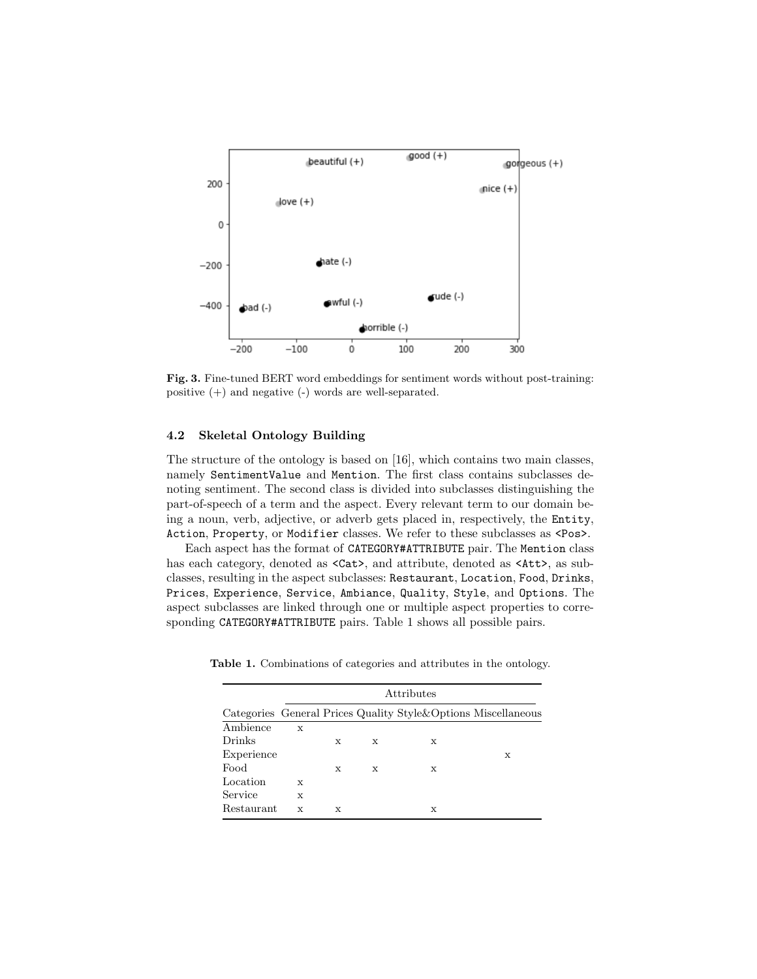<span id="page-7-1"></span>

Fig. 3. Fine-tuned BERT word embeddings for sentiment words without post-training: positive (+) and negative (-) words are well-separated.

# <span id="page-7-0"></span>4.2 Skeletal Ontology Building

The structure of the ontology is based on [\[16\]](#page-15-1), which contains two main classes, namely SentimentValue and Mention. The first class contains subclasses denoting sentiment. The second class is divided into subclasses distinguishing the part-of-speech of a term and the aspect. Every relevant term to our domain being a noun, verb, adjective, or adverb gets placed in, respectively, the Entity, Action, Property, or Modifier classes. We refer to these subclasses as <Pos>.

Each aspect has the format of CATEGORY#ATTRIBUTE pair. The Mention class has each category, denoted as <Cat>, and attribute, denoted as <Att>, as subclasses, resulting in the aspect subclasses: Restaurant, Location, Food, Drinks, Prices, Experience, Service, Ambiance, Quality, Style, and Options. The aspect subclasses are linked through one or multiple aspect properties to corresponding CATEGORY#ATTRIBUTE pairs. Table [1](#page-7-2) shows all possible pairs.

|            | Attributes   |   |   |                                                                 |   |  |
|------------|--------------|---|---|-----------------------------------------------------------------|---|--|
|            |              |   |   | Categories General Prices Quality Style & Options Miscellaneous |   |  |
| Ambience   | X            |   |   |                                                                 |   |  |
| Drinks     |              | X | X | х                                                               |   |  |
| Experience |              |   |   |                                                                 | X |  |
| Food       |              | X | X | X                                                               |   |  |
| Location   | $\mathbf x$  |   |   |                                                                 |   |  |
| Service    | X            |   |   |                                                                 |   |  |
| Restaurant | $\mathbf{x}$ | X |   | X                                                               |   |  |

<span id="page-7-2"></span>Table 1. Combinations of categories and attributes in the ontology.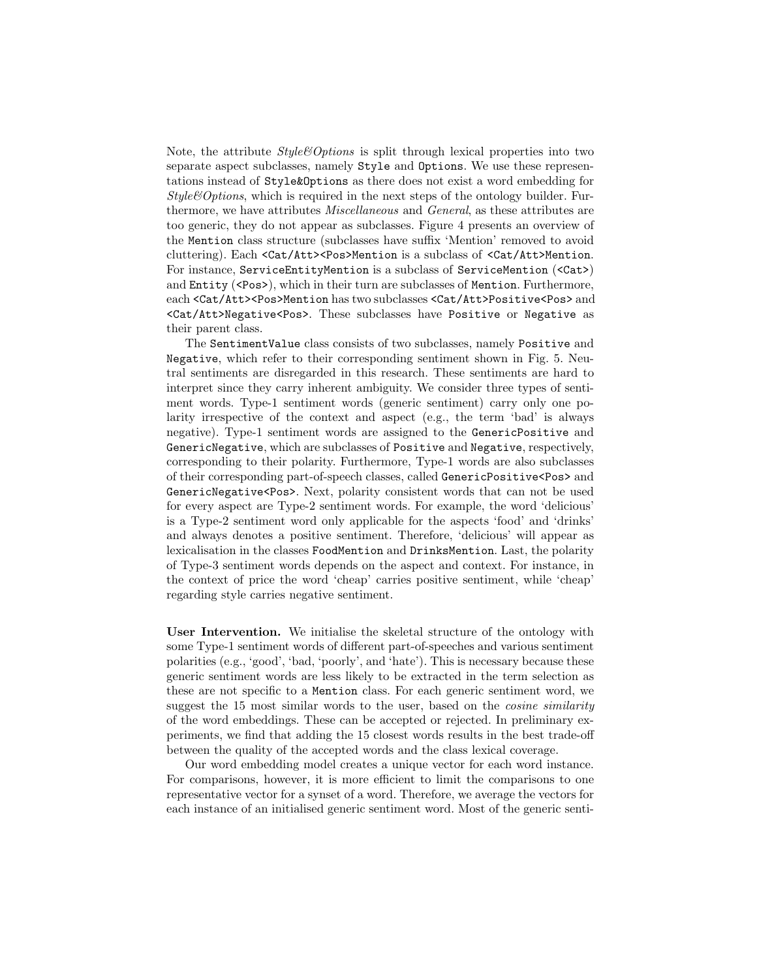Note, the attribute  $Style\&Options$  is split through lexical properties into two separate aspect subclasses, namely Style and Options. We use these representations instead of Style&Options as there does not exist a word embedding for  $Style\mathcal{O}ptions$ , which is required in the next steps of the ontology builder. Furthermore, we have attributes Miscellaneous and General, as these attributes are too generic, they do not appear as subclasses. Figure [4](#page-9-1) presents an overview of the Mention class structure (subclasses have suffix 'Mention' removed to avoid cluttering). Each <Cat/Att><Pos>Mention is a subclass of <Cat/Att>Mention. For instance, ServiceEntityMention is a subclass of ServiceMention (<Cat>) and Entity (<Pos>), which in their turn are subclasses of Mention. Furthermore, each <Cat/Att><Pos>Mention has two subclasses <Cat/Att>Positive<Pos> and <Cat/Att>Negative<Pos>. These subclasses have Positive or Negative as their parent class.

The SentimentValue class consists of two subclasses, namely Positive and Negative, which refer to their corresponding sentiment shown in Fig. [5.](#page-9-1) Neutral sentiments are disregarded in this research. These sentiments are hard to interpret since they carry inherent ambiguity. We consider three types of sentiment words. Type-1 sentiment words (generic sentiment) carry only one polarity irrespective of the context and aspect (e.g., the term 'bad' is always negative). Type-1 sentiment words are assigned to the GenericPositive and GenericNegative, which are subclasses of Positive and Negative, respectively, corresponding to their polarity. Furthermore, Type-1 words are also subclasses of their corresponding part-of-speech classes, called GenericPositive<Pos> and GenericNegative<Pos>. Next, polarity consistent words that can not be used for every aspect are Type-2 sentiment words. For example, the word 'delicious' is a Type-2 sentiment word only applicable for the aspects 'food' and 'drinks' and always denotes a positive sentiment. Therefore, 'delicious' will appear as lexicalisation in the classes FoodMention and DrinksMention. Last, the polarity of Type-3 sentiment words depends on the aspect and context. For instance, in the context of price the word 'cheap' carries positive sentiment, while 'cheap' regarding style carries negative sentiment.

User Intervention. We initialise the skeletal structure of the ontology with some Type-1 sentiment words of different part-of-speeches and various sentiment polarities (e.g., 'good', 'bad, 'poorly', and 'hate'). This is necessary because these generic sentiment words are less likely to be extracted in the term selection as these are not specific to a Mention class. For each generic sentiment word, we suggest the 15 most similar words to the user, based on the cosine similarity of the word embeddings. These can be accepted or rejected. In preliminary experiments, we find that adding the 15 closest words results in the best trade-off between the quality of the accepted words and the class lexical coverage.

Our word embedding model creates a unique vector for each word instance. For comparisons, however, it is more efficient to limit the comparisons to one representative vector for a synset of a word. Therefore, we average the vectors for each instance of an initialised generic sentiment word. Most of the generic senti-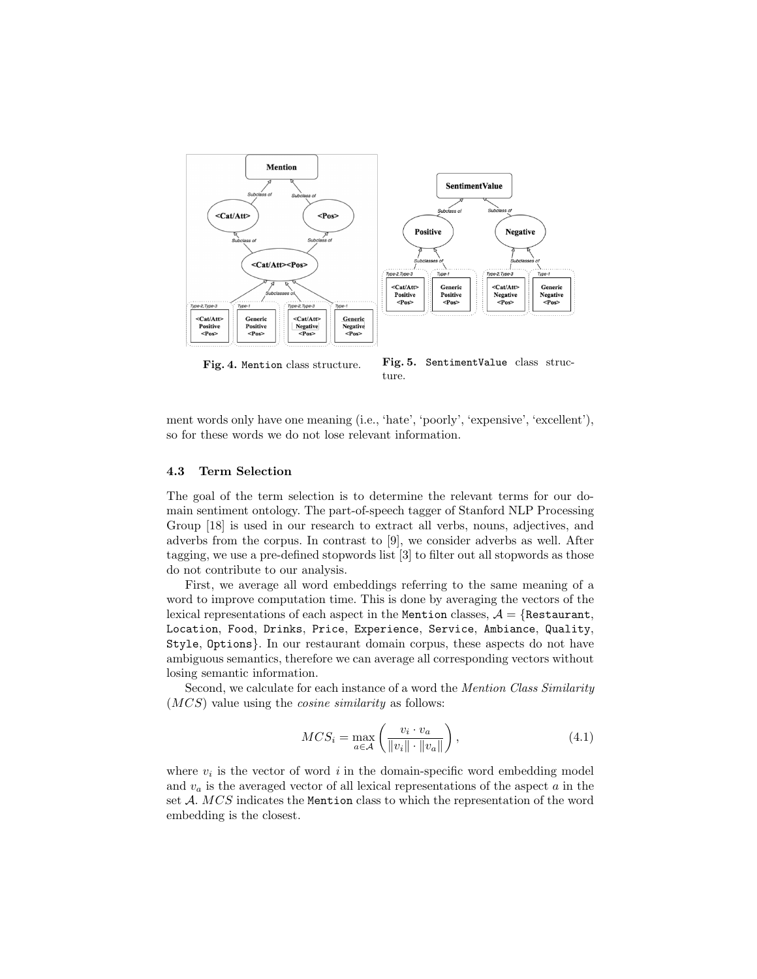<span id="page-9-1"></span>

Fig. 4. Mention class structure. Fig. 5. SentimentValue class structure.

ment words only have one meaning (i.e., 'hate', 'poorly', 'expensive', 'excellent'), so for these words we do not lose relevant information.

# <span id="page-9-0"></span>4.3 Term Selection

The goal of the term selection is to determine the relevant terms for our domain sentiment ontology. The part-of-speech tagger of Stanford NLP Processing Group [\[18\]](#page-16-5) is used in our research to extract all verbs, nouns, adjectives, and adverbs from the corpus. In contrast to [\[9\]](#page-15-3), we consider adverbs as well. After tagging, we use a pre-defined stopwords list [\[3\]](#page-15-12) to filter out all stopwords as those do not contribute to our analysis.

First, we average all word embeddings referring to the same meaning of a word to improve computation time. This is done by averaging the vectors of the lexical representations of each aspect in the Mention classes,  $A = \{$ Restaurant, Location, Food, Drinks, Price, Experience, Service, Ambiance, Quality, Style, Options}. In our restaurant domain corpus, these aspects do not have ambiguous semantics, therefore we can average all corresponding vectors without losing semantic information.

Second, we calculate for each instance of a word the Mention Class Similarity  $(MCS)$  value using the *cosine similarity* as follows:

$$
MCS_i = \max_{a \in \mathcal{A}} \left( \frac{v_i \cdot v_a}{\|v_i\| \cdot \|v_a\|} \right),\tag{4.1}
$$

where  $v_i$  is the vector of word i in the domain-specific word embedding model and  $v_a$  is the averaged vector of all lexical representations of the aspect  $a$  in the set A. MCS indicates the Mention class to which the representation of the word embedding is the closest.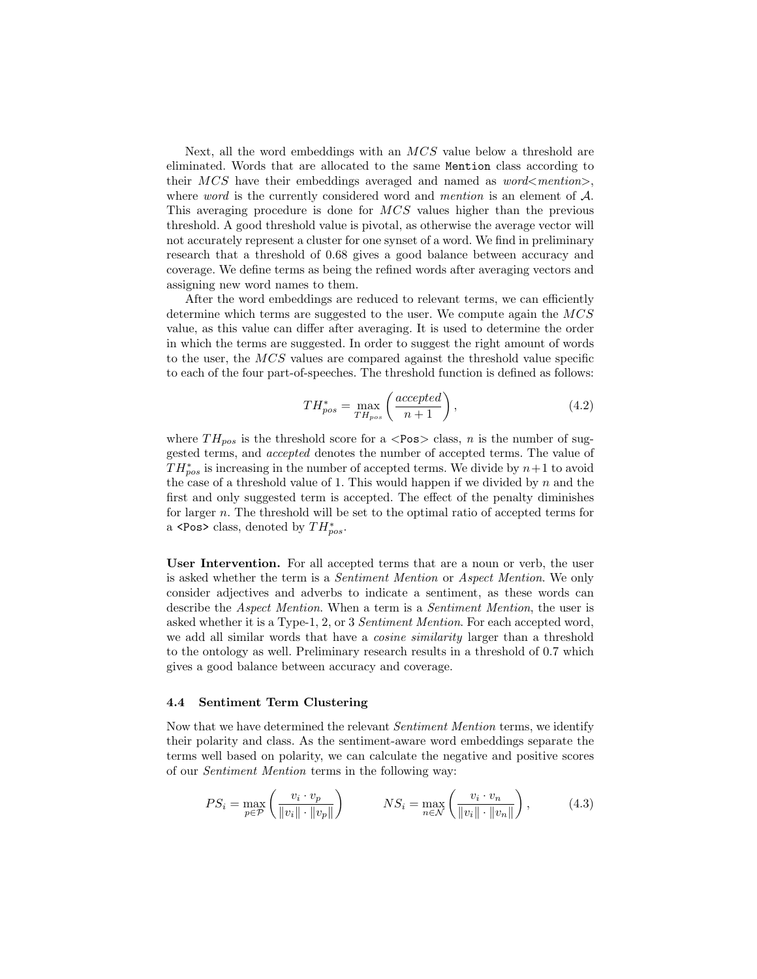Next, all the word embeddings with an MCS value below a threshold are eliminated. Words that are allocated to the same Mention class according to their  $MCS$  have their embeddings averaged and named as  $word<$ mention $>$ , where *word* is the currently considered word and *mention* is an element of  $A$ . This averaging procedure is done for MCS values higher than the previous threshold. A good threshold value is pivotal, as otherwise the average vector will not accurately represent a cluster for one synset of a word. We find in preliminary research that a threshold of 0.68 gives a good balance between accuracy and coverage. We define terms as being the refined words after averaging vectors and assigning new word names to them.

After the word embeddings are reduced to relevant terms, we can efficiently determine which terms are suggested to the user. We compute again the MCS value, as this value can differ after averaging. It is used to determine the order in which the terms are suggested. In order to suggest the right amount of words to the user, the MCS values are compared against the threshold value specific to each of the four part-of-speeches. The threshold function is defined as follows:

$$
TH_{pos}^{*} = \max_{TH_{pos}} \left( \frac{accepted}{n+1} \right),\tag{4.2}
$$

where  $TH_{nos}$  is the threshold score for a  $\langle Pos \rangle$  class, n is the number of suggested terms, and accepted denotes the number of accepted terms. The value of  $TH_{pos}^*$  is increasing in the number of accepted terms. We divide by  $n+1$  to avoid the case of a threshold value of 1. This would happen if we divided by  $n$  and the first and only suggested term is accepted. The effect of the penalty diminishes for larger n. The threshold will be set to the optimal ratio of accepted terms for a <Pos> class, denoted by  $TH_{pos}^*$ .

User Intervention. For all accepted terms that are a noun or verb, the user is asked whether the term is a Sentiment Mention or Aspect Mention. We only consider adjectives and adverbs to indicate a sentiment, as these words can describe the Aspect Mention. When a term is a Sentiment Mention, the user is asked whether it is a Type-1, 2, or 3 Sentiment Mention. For each accepted word, we add all similar words that have a *cosine similarity* larger than a threshold to the ontology as well. Preliminary research results in a threshold of 0.7 which gives a good balance between accuracy and coverage.

#### <span id="page-10-0"></span>4.4 Sentiment Term Clustering

Now that we have determined the relevant Sentiment Mention terms, we identify their polarity and class. As the sentiment-aware word embeddings separate the terms well based on polarity, we can calculate the negative and positive scores of our Sentiment Mention terms in the following way:

$$
PS_i = \max_{p \in \mathcal{P}} \left( \frac{v_i \cdot v_p}{\|v_i\| \cdot \|v_p\|} \right) \qquad NS_i = \max_{n \in \mathcal{N}} \left( \frac{v_i \cdot v_n}{\|v_i\| \cdot \|v_n\|} \right), \qquad (4.3)
$$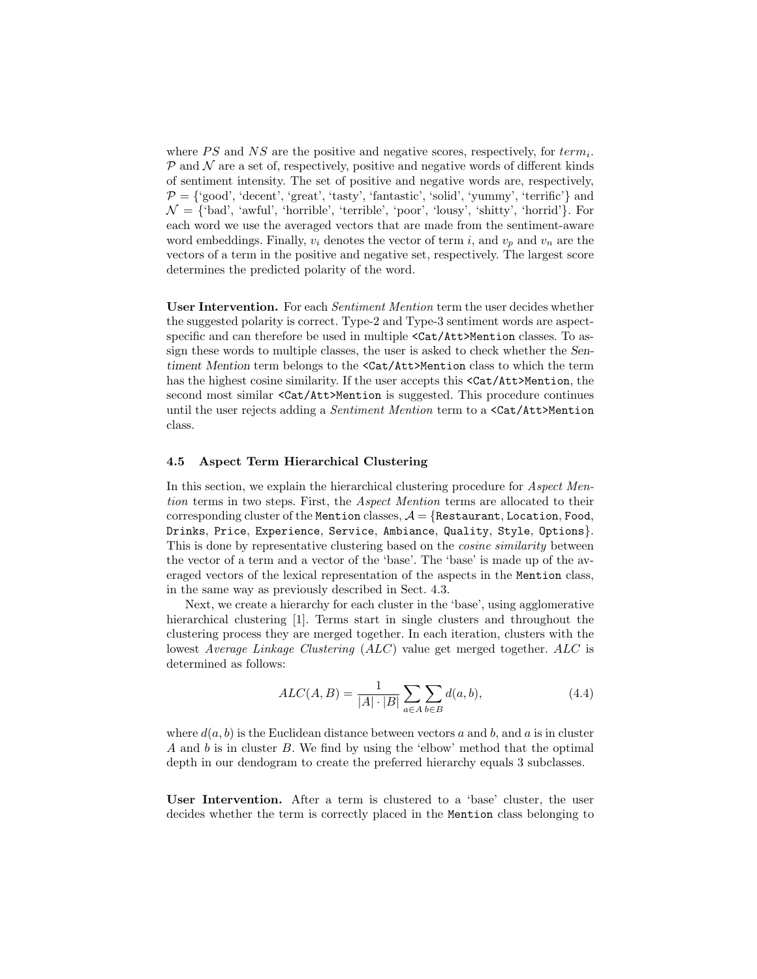where  $PS$  and  $NS$  are the positive and negative scores, respectively, for  $term_i$ .  $P$  and  $\mathcal N$  are a set of, respectively, positive and negative words of different kinds of sentiment intensity. The set of positive and negative words are, respectively,  $P = \{\text{'}good', \text{'}decent', \text{'}great', \text{'}task', \text{'}fantack', \text{'}solid', \text{'}jumpy', \text{'}terrific'}\}$  and  $\mathcal{N} = \{\text{'bad'}, \text{ 'awful'}, \text{ 'horrible'}, \text{ 'terrible'}, \text{ 'poor'}, \text{ 'lousy'}, \text{ 'shitty'}, \text{ 'horrid'}\}. For$ each word we use the averaged vectors that are made from the sentiment-aware word embeddings. Finally,  $v_i$  denotes the vector of term i, and  $v_n$  and  $v_n$  are the vectors of a term in the positive and negative set, respectively. The largest score determines the predicted polarity of the word.

User Intervention. For each Sentiment Mention term the user decides whether the suggested polarity is correct. Type-2 and Type-3 sentiment words are aspectspecific and can therefore be used in multiple  $\texttt{Cat/Att>Mention}$  classes. To assign these words to multiple classes, the user is asked to check whether the Sentiment Mention term belongs to the <Cat/Att>Mention class to which the term has the highest cosine similarity. If the user accepts this <Cat/Att>Mention, the second most similar <Cat/Att>Mention is suggested. This procedure continues until the user rejects adding a *Sentiment Mention* term to a **<Cat/Att>Mention** class.

## <span id="page-11-0"></span>4.5 Aspect Term Hierarchical Clustering

In this section, we explain the hierarchical clustering procedure for Aspect Mention terms in two steps. First, the Aspect Mention terms are allocated to their corresponding cluster of the Mention classes,  $A = \{$ Restaurant, Location, Food, Drinks, Price, Experience, Service, Ambiance, Quality, Style, Options}. This is done by representative clustering based on the *cosine similarity* between the vector of a term and a vector of the 'base'. The 'base' is made up of the averaged vectors of the lexical representation of the aspects in the Mention class, in the same way as previously described in Sect. [4.3.](#page-9-0)

Next, we create a hierarchy for each cluster in the 'base', using agglomerative hierarchical clustering [\[1\]](#page-15-13). Terms start in single clusters and throughout the clustering process they are merged together. In each iteration, clusters with the lowest Average Linkage Clustering (ALC) value get merged together. ALC is determined as follows:

$$
ALC(A, B) = \frac{1}{|A| \cdot |B|} \sum_{a \in A} \sum_{b \in B} d(a, b),
$$
\n(4.4)

where  $d(a, b)$  is the Euclidean distance between vectors a and b, and a is in cluster A and  $b$  is in cluster  $B$ . We find by using the 'elbow' method that the optimal depth in our dendogram to create the preferred hierarchy equals 3 subclasses.

User Intervention. After a term is clustered to a 'base' cluster, the user decides whether the term is correctly placed in the Mention class belonging to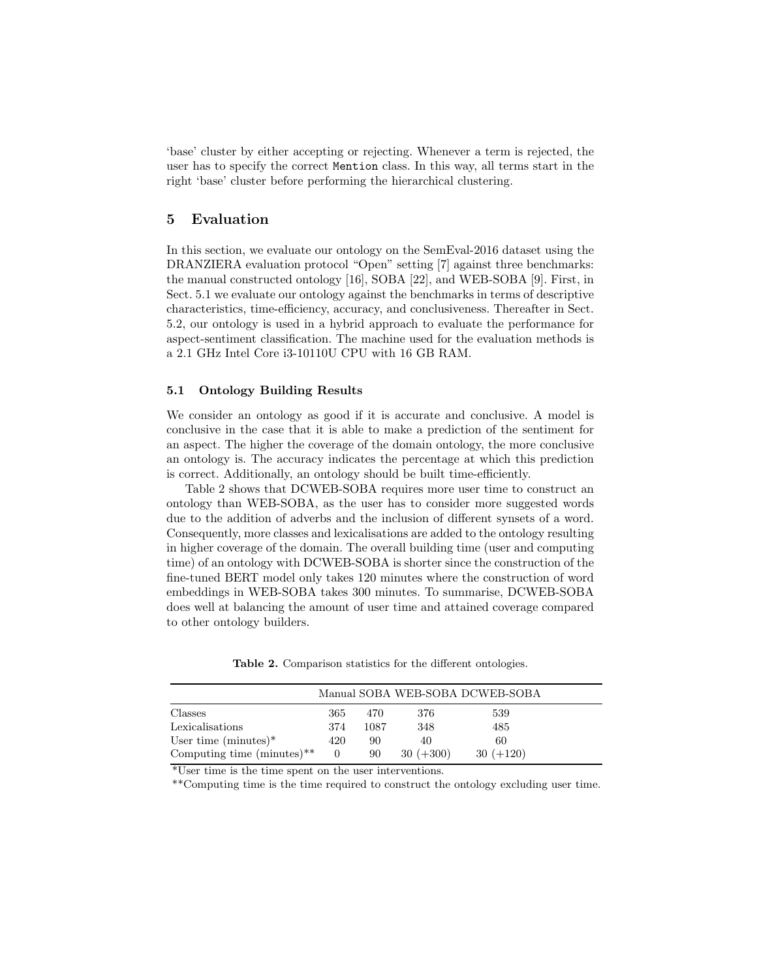'base' cluster by either accepting or rejecting. Whenever a term is rejected, the user has to specify the correct Mention class. In this way, all terms start in the right 'base' cluster before performing the hierarchical clustering.

## <span id="page-12-0"></span>5 Evaluation

In this section, we evaluate our ontology on the SemEval-2016 dataset using the DRANZIERA evaluation protocol "Open" setting [\[7\]](#page-15-14) against three benchmarks: the manual constructed ontology [\[16\]](#page-15-1), SOBA [\[22\]](#page-16-3), and WEB-SOBA [\[9\]](#page-15-3). First, in Sect. [5.1](#page-12-1) we evaluate our ontology against the benchmarks in terms of descriptive characteristics, time-efficiency, accuracy, and conclusiveness. Thereafter in Sect. 5.2, our ontology is used in a hybrid approach to evaluate the performance for aspect-sentiment classification. The machine used for the evaluation methods is a 2.1 GHz Intel Core i3-10110U CPU with 16 GB RAM.

## <span id="page-12-1"></span>5.1 Ontology Building Results

We consider an ontology as good if it is accurate and conclusive. A model is conclusive in the case that it is able to make a prediction of the sentiment for an aspect. The higher the coverage of the domain ontology, the more conclusive an ontology is. The accuracy indicates the percentage at which this prediction is correct. Additionally, an ontology should be built time-efficiently.

Table [2](#page-12-2) shows that DCWEB-SOBA requires more user time to construct an ontology than WEB-SOBA, as the user has to consider more suggested words due to the addition of adverbs and the inclusion of different synsets of a word. Consequently, more classes and lexicalisations are added to the ontology resulting in higher coverage of the domain. The overall building time (user and computing time) of an ontology with DCWEB-SOBA is shorter since the construction of the fine-tuned BERT model only takes 120 minutes where the construction of word embeddings in WEB-SOBA takes 300 minutes. To summarise, DCWEB-SOBA does well at balancing the amount of user time and attained coverage compared to other ontology builders.

<span id="page-12-2"></span>

| Manual SOBA WEB-SOBA DCWEB-SOBA |     |      |             |             |  |
|---------------------------------|-----|------|-------------|-------------|--|
| Classes                         | 365 | 470  | 376         | 539         |  |
| Lexicalisations                 | 374 | 1087 | 348         | 485         |  |
| User time (minutes) $*$         | 420 | 90   | 40          | 60          |  |
| Computing time (minutes) $**$   |     | 90   | $30 (+300)$ | $30 (+120)$ |  |

Table 2. Comparison statistics for the different ontologies.

\*User time is the time spent on the user interventions.

\*\*Computing time is the time required to construct the ontology excluding user time.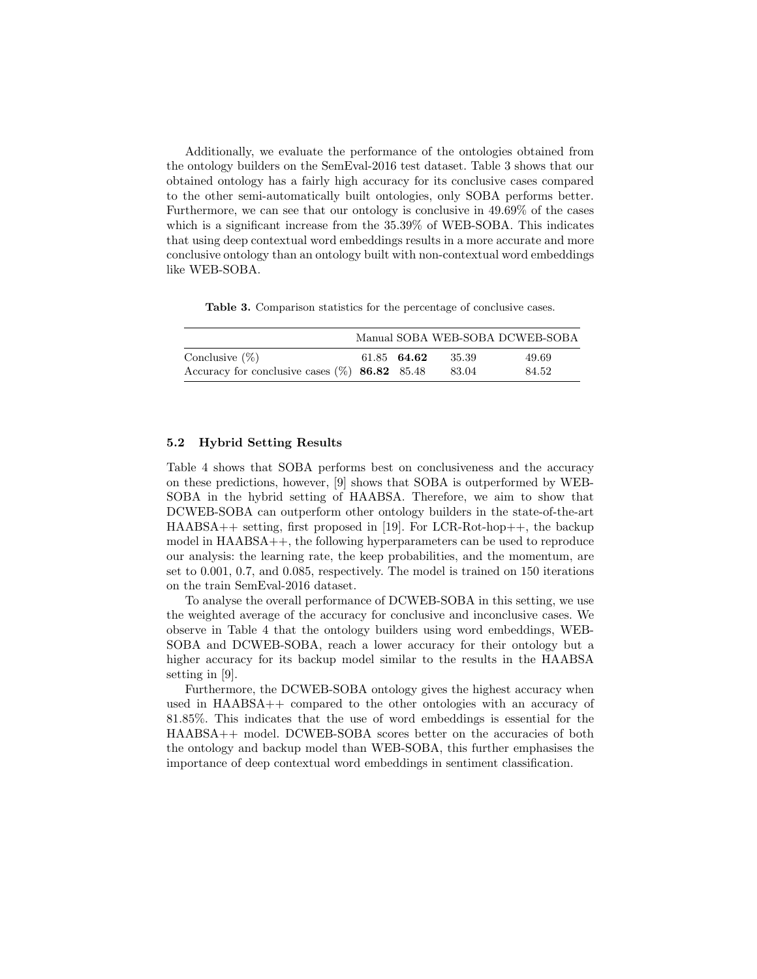Additionally, we evaluate the performance of the ontologies obtained from the ontology builders on the SemEval-2016 test dataset. Table [3](#page-13-0) shows that our obtained ontology has a fairly high accuracy for its conclusive cases compared to the other semi-automatically built ontologies, only SOBA performs better. Furthermore, we can see that our ontology is conclusive in 49.69% of the cases which is a significant increase from the 35.39% of WEB-SOBA. This indicates that using deep contextual word embeddings results in a more accurate and more conclusive ontology than an ontology built with non-contextual word embeddings like WEB-SOBA.

Table 3. Comparison statistics for the percentage of conclusive cases.

<span id="page-13-0"></span>

|                                                  |             |        | Manual SOBA WEB-SOBA DCWEB-SOBA |
|--------------------------------------------------|-------------|--------|---------------------------------|
| Conclusive $(\%)$                                | 61.85 64.62 | -35.39 | 49.69                           |
| Accuracy for conclusive cases $(\%)$ 86.82 85.48 |             | 83.04  | 84.52                           |

## 5.2 Hybrid Setting Results

Table 4 shows that SOBA performs best on conclusiveness and the accuracy on these predictions, however, [\[9\]](#page-15-3) shows that SOBA is outperformed by WEB-SOBA in the hybrid setting of HAABSA. Therefore, we aim to show that DCWEB-SOBA can outperform other ontology builders in the state-of-the-art HAABSA++ setting, first proposed in [\[19\]](#page-16-1). For LCR-Rot-hop++, the backup model in HAABSA++, the following hyperparameters can be used to reproduce our analysis: the learning rate, the keep probabilities, and the momentum, are set to 0.001, 0.7, and 0.085, respectively. The model is trained on 150 iterations on the train SemEval-2016 dataset.

To analyse the overall performance of DCWEB-SOBA in this setting, we use the weighted average of the accuracy for conclusive and inconclusive cases. We observe in Table [4](#page-14-1) that the ontology builders using word embeddings, WEB-SOBA and DCWEB-SOBA, reach a lower accuracy for their ontology but a higher accuracy for its backup model similar to the results in the HAABSA setting in [\[9\]](#page-15-3).

Furthermore, the DCWEB-SOBA ontology gives the highest accuracy when used in HAABSA++ compared to the other ontologies with an accuracy of 81.85%. This indicates that the use of word embeddings is essential for the HAABSA++ model. DCWEB-SOBA scores better on the accuracies of both the ontology and backup model than WEB-SOBA, this further emphasises the importance of deep contextual word embeddings in sentiment classification.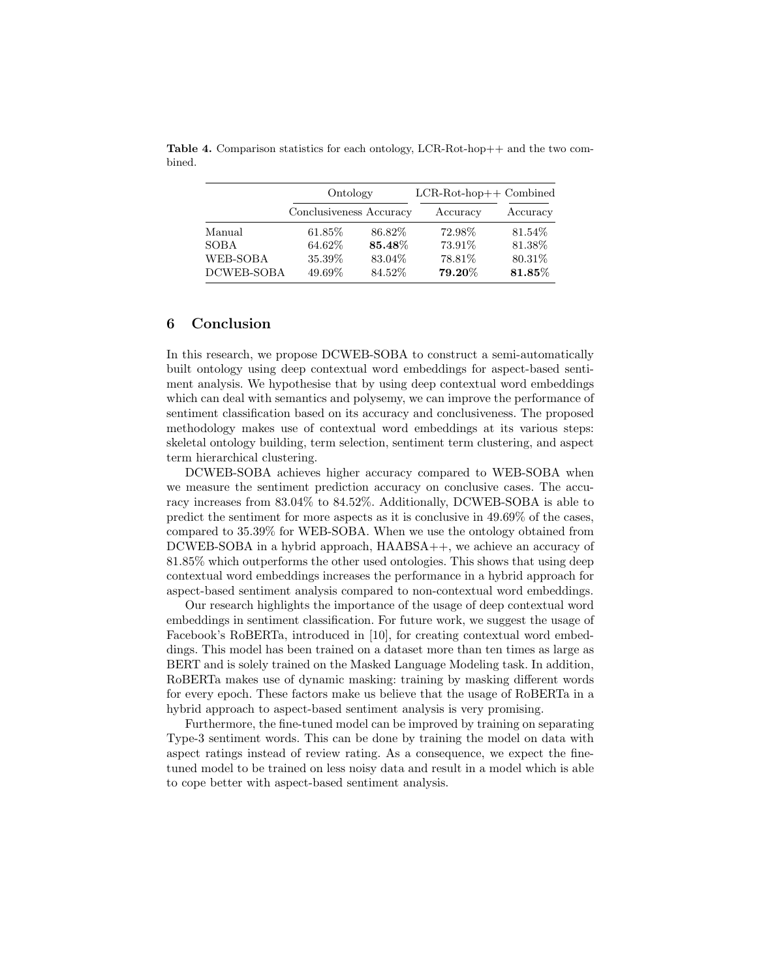|                                   | Ontology                    |                              | $LCR-Rot-hop++ Combined$    |                             |  |
|-----------------------------------|-----------------------------|------------------------------|-----------------------------|-----------------------------|--|
|                                   | Conclusiveness Accuracy     |                              | Accuracy                    | Accuracy                    |  |
| Manual<br><b>SOBA</b><br>WEB-SOBA | 61.85%<br>64.62\%<br>35.39% | 86.82\%<br>85.48%<br>83.04\% | 72.98%<br>73.91%<br>78.81\% | 81.54\%<br>81.38%<br>80.31% |  |
| <b>DCWEB-SOBA</b>                 | 49.69%                      | 84.52%                       | 79.20%                      | 81.85%                      |  |

<span id="page-14-1"></span>Table 4. Comparison statistics for each ontology, LCR-Rot-hop++ and the two combined.

## <span id="page-14-0"></span>6 Conclusion

In this research, we propose DCWEB-SOBA to construct a semi-automatically built ontology using deep contextual word embeddings for aspect-based sentiment analysis. We hypothesise that by using deep contextual word embeddings which can deal with semantics and polysemy, we can improve the performance of sentiment classification based on its accuracy and conclusiveness. The proposed methodology makes use of contextual word embeddings at its various steps: skeletal ontology building, term selection, sentiment term clustering, and aspect term hierarchical clustering.

DCWEB-SOBA achieves higher accuracy compared to WEB-SOBA when we measure the sentiment prediction accuracy on conclusive cases. The accuracy increases from 83.04% to 84.52%. Additionally, DCWEB-SOBA is able to predict the sentiment for more aspects as it is conclusive in 49.69% of the cases, compared to 35.39% for WEB-SOBA. When we use the ontology obtained from DCWEB-SOBA in a hybrid approach, HAABSA++, we achieve an accuracy of 81.85% which outperforms the other used ontologies. This shows that using deep contextual word embeddings increases the performance in a hybrid approach for aspect-based sentiment analysis compared to non-contextual word embeddings.

Our research highlights the importance of the usage of deep contextual word embeddings in sentiment classification. For future work, we suggest the usage of Facebook's RoBERTa, introduced in [\[10\]](#page-15-15), for creating contextual word embeddings. This model has been trained on a dataset more than ten times as large as BERT and is solely trained on the Masked Language Modeling task. In addition, RoBERTa makes use of dynamic masking: training by masking different words for every epoch. These factors make us believe that the usage of RoBERTa in a hybrid approach to aspect-based sentiment analysis is very promising.

Furthermore, the fine-tuned model can be improved by training on separating Type-3 sentiment words. This can be done by training the model on data with aspect ratings instead of review rating. As a consequence, we expect the finetuned model to be trained on less noisy data and result in a model which is able to cope better with aspect-based sentiment analysis.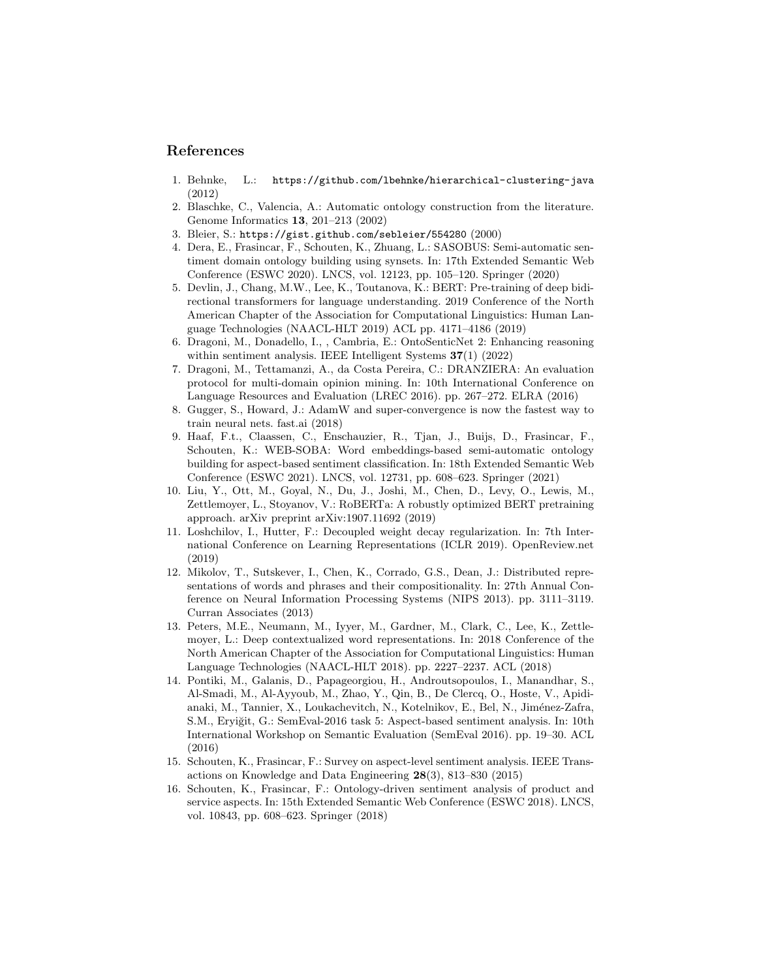## References

- <span id="page-15-13"></span>1. Behnke, L.: <https://github.com/lbehnke/hierarchical-clustering-java> (2012)
- <span id="page-15-2"></span>2. Blaschke, C., Valencia, A.: Automatic ontology construction from the literature. Genome Informatics 13, 201–213 (2002)
- <span id="page-15-12"></span>3. Bleier, S.: <https://gist.github.com/sebleier/554280> (2000)
- <span id="page-15-7"></span>4. Dera, E., Frasincar, F., Schouten, K., Zhuang, L.: SASOBUS: Semi-automatic sentiment domain ontology building using synsets. In: 17th Extended Semantic Web Conference (ESWC 2020). LNCS, vol. 12123, pp. 105–120. Springer (2020)
- <span id="page-15-4"></span>5. Devlin, J., Chang, M.W., Lee, K., Toutanova, K.: BERT: Pre-training of deep bidirectional transformers for language understanding. 2019 Conference of the North American Chapter of the Association for Computational Linguistics: Human Language Technologies (NAACL-HLT 2019) ACL pp. 4171–4186 (2019)
- <span id="page-15-6"></span>6. Dragoni, M., Donadello, I., , Cambria, E.: OntoSenticNet 2: Enhancing reasoning within sentiment analysis. IEEE Intelligent Systems  $37(1)$  (2022)
- <span id="page-15-14"></span>7. Dragoni, M., Tettamanzi, A., da Costa Pereira, C.: DRANZIERA: An evaluation protocol for multi-domain opinion mining. In: 10th International Conference on Language Resources and Evaluation (LREC 2016). pp. 267–272. ELRA (2016)
- <span id="page-15-10"></span>8. Gugger, S., Howard, J.: AdamW and super-convergence is now the fastest way to train neural nets. fast.ai (2018)
- <span id="page-15-3"></span>9. Haaf, F.t., Claassen, C., Enschauzier, R., Tjan, J., Buijs, D., Frasincar, F., Schouten, K.: WEB-SOBA: Word embeddings-based semi-automatic ontology building for aspect-based sentiment classification. In: 18th Extended Semantic Web Conference (ESWC 2021). LNCS, vol. 12731, pp. 608–623. Springer (2021)
- <span id="page-15-15"></span>10. Liu, Y., Ott, M., Goyal, N., Du, J., Joshi, M., Chen, D., Levy, O., Lewis, M., Zettlemoyer, L., Stoyanov, V.: RoBERTa: A robustly optimized BERT pretraining approach. arXiv preprint arXiv:1907.11692 (2019)
- <span id="page-15-11"></span>11. Loshchilov, I., Hutter, F.: Decoupled weight decay regularization. In: 7th International Conference on Learning Representations (ICLR 2019). OpenReview.net (2019)
- <span id="page-15-8"></span>12. Mikolov, T., Sutskever, I., Chen, K., Corrado, G.S., Dean, J.: Distributed representations of words and phrases and their compositionality. In: 27th Annual Conference on Neural Information Processing Systems (NIPS 2013). pp. 3111–3119. Curran Associates (2013)
- <span id="page-15-5"></span>13. Peters, M.E., Neumann, M., Iyyer, M., Gardner, M., Clark, C., Lee, K., Zettlemoyer, L.: Deep contextualized word representations. In: 2018 Conference of the North American Chapter of the Association for Computational Linguistics: Human Language Technologies (NAACL-HLT 2018). pp. 2227–2237. ACL (2018)
- <span id="page-15-9"></span>14. Pontiki, M., Galanis, D., Papageorgiou, H., Androutsopoulos, I., Manandhar, S., Al-Smadi, M., Al-Ayyoub, M., Zhao, Y., Qin, B., De Clercq, O., Hoste, V., Apidianaki, M., Tannier, X., Loukachevitch, N., Kotelnikov, E., Bel, N., Jiménez-Zafra, S.M., Eryiğit, G.: SemEval-2016 task 5: Aspect-based sentiment analysis. In: 10th International Workshop on Semantic Evaluation (SemEval 2016). pp. 19–30. ACL (2016)
- <span id="page-15-0"></span>15. Schouten, K., Frasincar, F.: Survey on aspect-level sentiment analysis. IEEE Transactions on Knowledge and Data Engineering 28(3), 813–830 (2015)
- <span id="page-15-1"></span>16. Schouten, K., Frasincar, F.: Ontology-driven sentiment analysis of product and service aspects. In: 15th Extended Semantic Web Conference (ESWC 2018). LNCS, vol. 10843, pp. 608–623. Springer (2018)